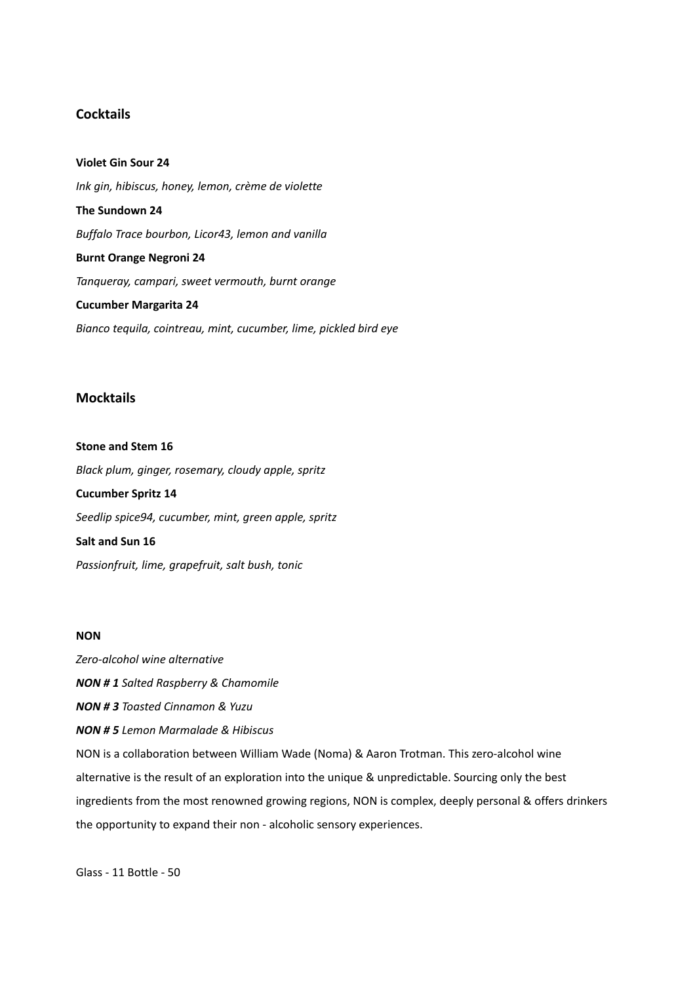## **Cocktails**

**Violet Gin Sour 24** *Ink gin, hibiscus, honey, lemon, crème de violette* **The Sundown 24** *Buffalo Trace bourbon, Licor43, lemon and vanilla* **Burnt Orange Negroni 24** *Tanqueray, campari, sweet vermouth, burnt orange* **Cucumber Margarita 24** *Bianco tequila, cointreau, mint, cucumber, lime, pickled bird eye*

#### **Mocktails**

**Stone and Stem 16** *Black plum, ginger, rosemary, cloudy apple, spritz*  **Cucumber Spritz 14** *Seedlip spice94, cucumber, mint, green apple, spritz* **Salt and Sun 16** *Passionfruit, lime, grapefruit, salt bush, tonic*

#### **NON**

*Zero-alcohol wine alternative NON # 1 Salted Raspberry & Chamomile NON # 3 Toasted Cinnamon & Yuzu NON # 5 Lemon Marmalade & Hibiscus* NON is a collaboration between William Wade (Noma) & Aaron Trotman. This zero-alcohol wine alternative is the result of an exploration into the unique & unpredictable. Sourcing only the best ingredients from the most renowned growing regions, NON is complex, deeply personal & offers drinkers the opportunity to expand their non - alcoholic sensory experiences.

Glass - 11 Bottle - 50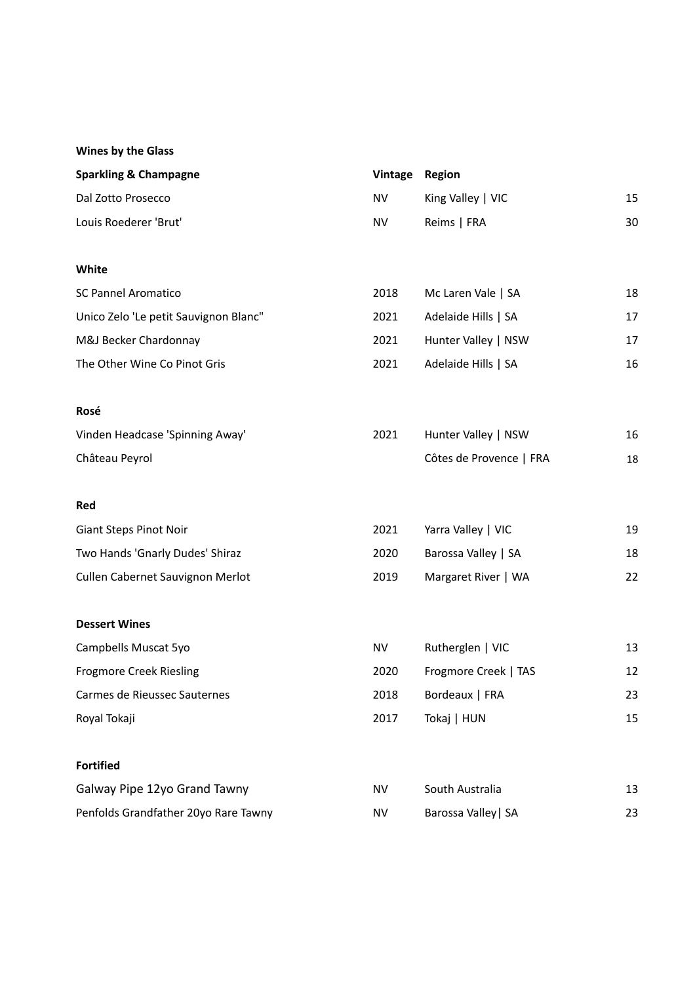## **Wines by the Glass**

| <b>Sparkling &amp; Champagne</b> | Vintage Region |                         |    |
|----------------------------------|----------------|-------------------------|----|
| Dal Zotto Prosecco               | NV             | King Valley $\vert$ VIC | 15 |
| Louis Roederer 'Brut'            | NV             | Reims   FRA             | 30 |

#### **White**

| SC Pannel Aromatico                   | 2018 | Mc Laren Vale   SA  | 18 |
|---------------------------------------|------|---------------------|----|
| Unico Zelo 'Le petit Sauvignon Blanc" | 2021 | Adelaide Hills   SA | 17 |
| M&J Becker Chardonnay                 | 2021 | Hunter Valley   NSW | 17 |
| The Other Wine Co Pinot Gris          | 2021 | Adelaide Hills   SA | 16 |

#### **Rosé**

| Vinden Headcase 'Spinning Away' | 2021 | Hunter Valley   NSW     | 16 |
|---------------------------------|------|-------------------------|----|
| Château Peyrol                  |      | Côtes de Provence   FRA | 18 |

#### **Red**

| <b>Giant Steps Pinot Noir</b>    | 2021 | Yarra Valley   VIC  | 19 |
|----------------------------------|------|---------------------|----|
| Two Hands 'Gnarly Dudes' Shiraz  | 2020 | Barossa Valley   SA | 18 |
| Cullen Cabernet Sauvignon Merlot | 2019 | Margaret River   WA | 22 |

#### **Dessert Wines**

| Campbells Muscat 5yo           | NV   | Rutherglen   VIC     | 13 |
|--------------------------------|------|----------------------|----|
| <b>Frogmore Creek Riesling</b> | 2020 | Frogmore Creek   TAS | 12 |
| Carmes de Rieussec Sauternes   | 2018 | Bordeaux   FRA       | 23 |
| Roval Tokaji                   | 2017 | Tokaj   HUN          | 15 |

## **Fortified**

| Galway Pipe 12yo Grand Tawny         | NV | South Australia     |  |
|--------------------------------------|----|---------------------|--|
| Penfolds Grandfather 20yo Rare Tawny | NV | Barossa Valley   SA |  |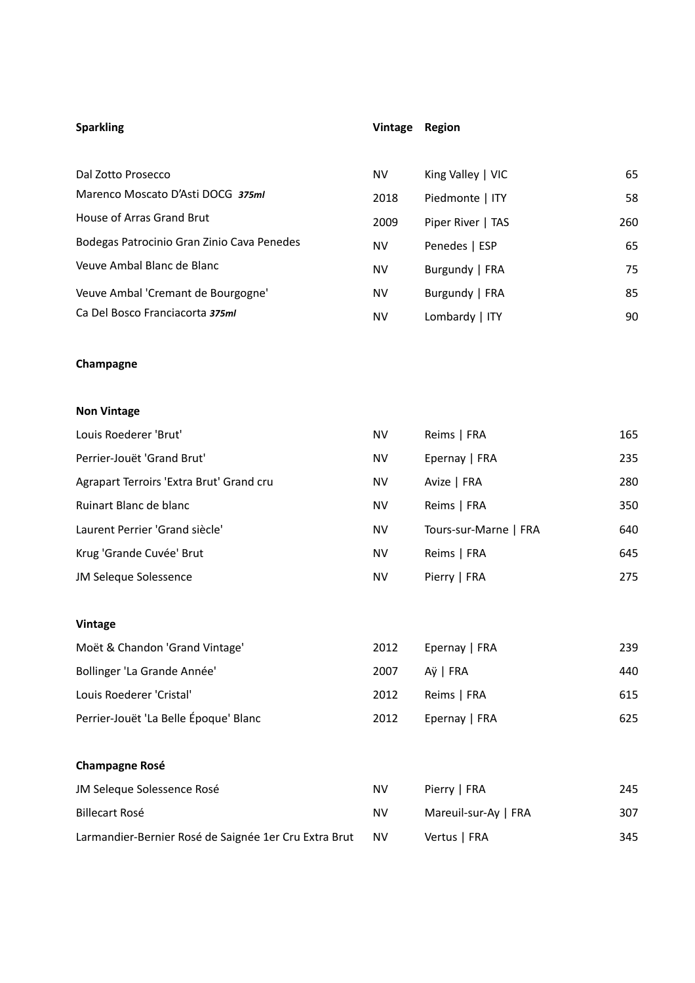# **Sparkling Vintage Region**

| Dal Zotto Prosecco                         | NV   | King Valley $ $ VIC | 65  |
|--------------------------------------------|------|---------------------|-----|
| Marenco Moscato D'Asti DOCG 375ml          | 2018 | Piedmonte   ITY     | 58  |
| House of Arras Grand Brut                  | 2009 | Piper River   TAS   | 260 |
| Bodegas Patrocinio Gran Zinio Cava Penedes | NV   | Penedes   ESP       | 65  |
| Veuve Ambal Blanc de Blanc                 | NV   | Burgundy   FRA      | 75  |
| Veuve Ambal 'Cremant de Bourgogne'         | NV   | Burgundy   FRA      | 85  |
| Ca Del Bosco Franciacorta 375ml            | NV   | Lombardy $ $ ITY    | 90  |

## **Champagne**

## **Non Vintage**

| Louis Roederer 'Brut'                    | NV        | Reims   FRA           | 165 |
|------------------------------------------|-----------|-----------------------|-----|
| Perrier-Jouët 'Grand Brut'               | NV        | Epernay   FRA         | 235 |
| Agrapart Terroirs 'Extra Brut' Grand cru | <b>NV</b> | Avize   FRA           | 280 |
| Ruinart Blanc de blanc                   | NV        | Reims   FRA           | 350 |
| Laurent Perrier 'Grand siècle'           | <b>NV</b> | Tours-sur-Marne   FRA | 640 |
| Krug 'Grande Cuvée' Brut                 | <b>NV</b> | Reims   FRA           | 645 |
| <b>JM Seleque Solessence</b>             | NV        | Pierry   FRA          | 275 |

#### **Vintage**

| Moët & Chandon 'Grand Vintage'        | 2012 | Epernay   FRA | 239 |
|---------------------------------------|------|---------------|-----|
| Bollinger 'La Grande Année'           | 2007 | Aÿ I FRA      | 440 |
| Louis Roederer 'Cristal'              | 2012 | Reims   FRA   | 615 |
| Perrier-Jouët 'La Belle Époque' Blanc | 2012 | Epernay   FRA | 625 |

## **Champagne Rosé**

| JM Seleque Solessence Rosé                            | NV        | Pierry   FRA         | 245 |
|-------------------------------------------------------|-----------|----------------------|-----|
| Billecart Rosé                                        | <b>NV</b> | Mareuil-sur-Ay   FRA | 307 |
| Larmandier-Bernier Rosé de Saignée 1er Cru Extra Brut | <b>NV</b> | Vertus   FRA         | 345 |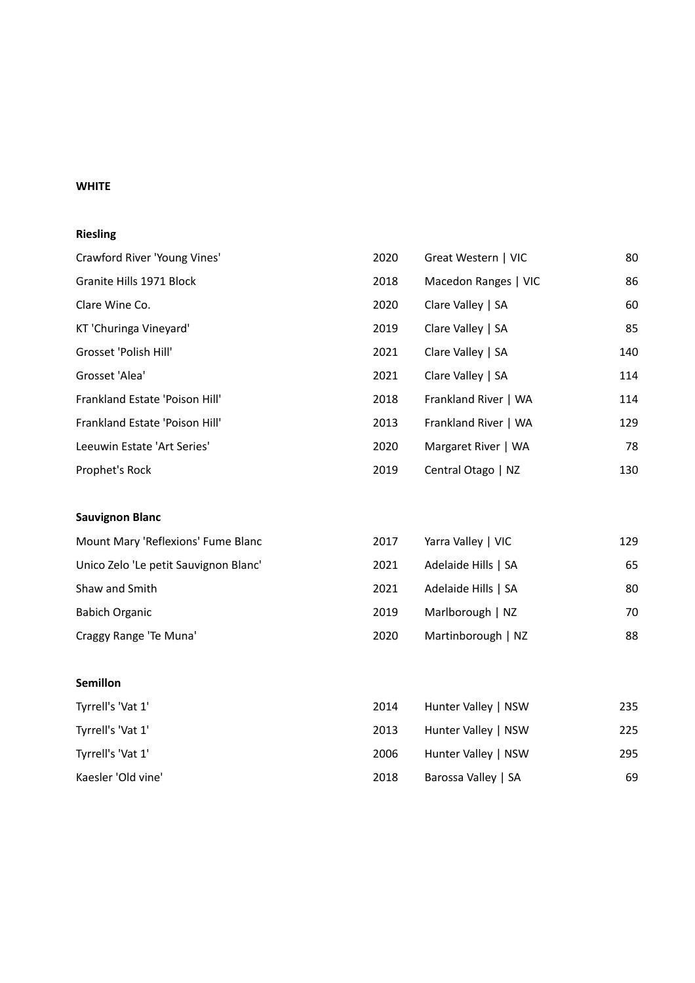## **WHITE**

## **Riesling**

| Crawford River 'Young Vines'   | 2020 | Great Western   VIC  | 80  |
|--------------------------------|------|----------------------|-----|
| Granite Hills 1971 Block       | 2018 | Macedon Ranges   VIC | 86  |
| Clare Wine Co.                 | 2020 | Clare Valley   SA    | 60  |
| KT 'Churinga Vineyard'         | 2019 | Clare Valley   SA    | 85  |
| Grosset 'Polish Hill'          | 2021 | Clare Valley   SA    | 140 |
| Grosset 'Alea'                 | 2021 | Clare Valley   SA    | 114 |
| Frankland Estate 'Poison Hill' | 2018 | Frankland River   WA | 114 |
| Frankland Estate 'Poison Hill' | 2013 | Frankland River   WA | 129 |
| Leeuwin Estate 'Art Series'    | 2020 | Margaret River   WA  | 78  |
| Prophet's Rock                 | 2019 | Central Otago   NZ   | 130 |

## **Sauvignon Blanc**

| Mount Mary 'Reflexions' Fume Blanc    | 2017 | Yarra Valley   VIC  | 129 |
|---------------------------------------|------|---------------------|-----|
| Unico Zelo 'Le petit Sauvignon Blanc' | 2021 | Adelaide Hills   SA | 65  |
| Shaw and Smith                        | 2021 | Adelaide Hills   SA | 80  |
| <b>Babich Organic</b>                 | 2019 | Marlborough   NZ    | 70  |
| Craggy Range 'Te Muna'                | 2020 | Martinborough   NZ  | 88  |

#### **Semillon**

| Tyrrell's 'Vat 1'  | 2014 | Hunter Valley   NSW | 235 |
|--------------------|------|---------------------|-----|
| Tyrrell's 'Vat 1'  | 2013 | Hunter Valley   NSW | 225 |
| Tyrrell's 'Vat 1'  | 2006 | Hunter Valley   NSW | 295 |
| Kaesler 'Old vine' | 2018 | Barossa Valley   SA | 69  |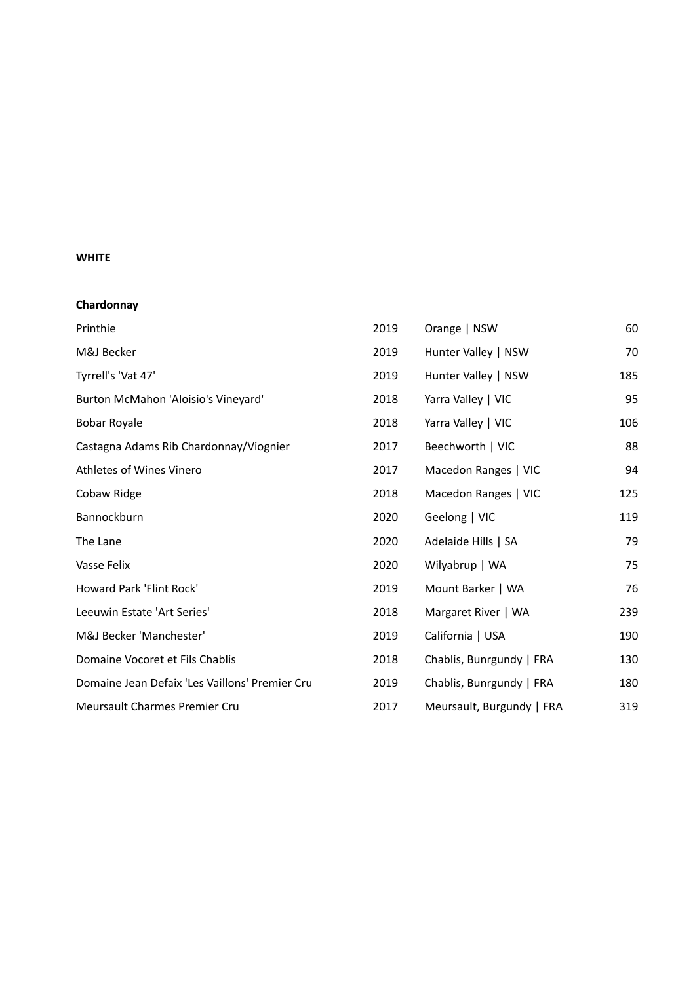#### **WHITE**

| Chardonnay                                     |      |                           |     |
|------------------------------------------------|------|---------------------------|-----|
| Printhie                                       | 2019 | Orange   NSW              | 60  |
| M&J Becker                                     | 2019 | Hunter Valley   NSW       | 70  |
| Tyrrell's 'Vat 47'                             | 2019 | Hunter Valley   NSW       | 185 |
| Burton McMahon 'Aloisio's Vineyard'            | 2018 | Yarra Valley   VIC        | 95  |
| <b>Bobar Royale</b>                            | 2018 | Yarra Valley   VIC        | 106 |
| Castagna Adams Rib Chardonnay/Viognier         | 2017 | Beechworth   VIC          | 88  |
| Athletes of Wines Vinero                       | 2017 | Macedon Ranges   VIC      | 94  |
| Cobaw Ridge                                    | 2018 | Macedon Ranges   VIC      | 125 |
| Bannockburn                                    | 2020 | Geelong   VIC             | 119 |
| The Lane                                       | 2020 | Adelaide Hills   SA       | 79  |
| Vasse Felix                                    | 2020 | Wilyabrup   WA            | 75  |
| Howard Park 'Flint Rock'                       | 2019 | Mount Barker   WA         | 76  |
| Leeuwin Estate 'Art Series'                    | 2018 | Margaret River   WA       | 239 |
| M&J Becker 'Manchester'                        | 2019 | California   USA          | 190 |
| Domaine Vocoret et Fils Chablis                | 2018 | Chablis, Bunrgundy   FRA  | 130 |
| Domaine Jean Defaix 'Les Vaillons' Premier Cru | 2019 | Chablis, Bunrgundy   FRA  | 180 |
| <b>Meursault Charmes Premier Cru</b>           | 2017 | Meursault, Burgundy   FRA | 319 |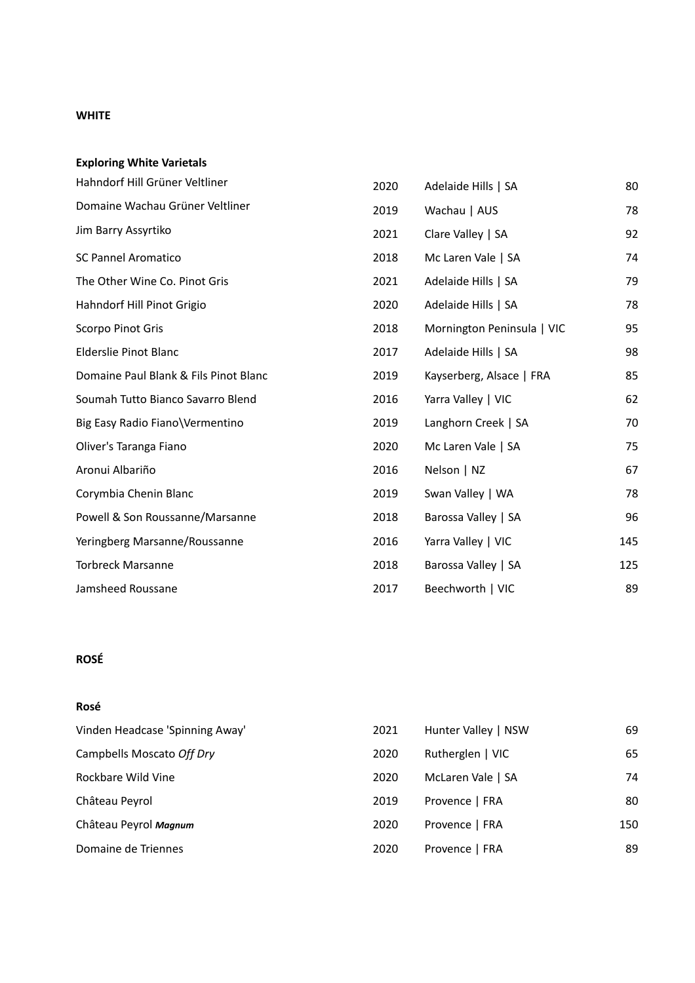#### **WHITE**

| <b>Exploring White Varietals</b>      |      |                            |     |
|---------------------------------------|------|----------------------------|-----|
| Hahndorf Hill Grüner Veltliner        | 2020 | Adelaide Hills   SA        | 80  |
| Domaine Wachau Grüner Veltliner       | 2019 | Wachau   AUS               | 78  |
| Jim Barry Assyrtiko                   | 2021 | Clare Valley   SA          | 92  |
| <b>SC Pannel Aromatico</b>            | 2018 | Mc Laren Vale   SA         | 74  |
| The Other Wine Co. Pinot Gris         | 2021 | Adelaide Hills   SA        | 79  |
| Hahndorf Hill Pinot Grigio            | 2020 | Adelaide Hills   SA        | 78  |
| Scorpo Pinot Gris                     | 2018 | Mornington Peninsula   VIC | 95  |
| Elderslie Pinot Blanc                 | 2017 | Adelaide Hills   SA        | 98  |
| Domaine Paul Blank & Fils Pinot Blanc | 2019 | Kayserberg, Alsace   FRA   | 85  |
| Soumah Tutto Bianco Savarro Blend     | 2016 | Yarra Valley   VIC         | 62  |
| Big Easy Radio Fiano\Vermentino       | 2019 | Langhorn Creek   SA        | 70  |
| Oliver's Taranga Fiano                | 2020 | Mc Laren Vale   SA         | 75  |
| Aronui Albariño                       | 2016 | Nelson   NZ                | 67  |
| Corymbia Chenin Blanc                 | 2019 | Swan Valley   WA           | 78  |
| Powell & Son Roussanne/Marsanne       | 2018 | Barossa Valley   SA        | 96  |
| Yeringberg Marsanne/Roussanne         | 2016 | Yarra Valley   VIC         | 145 |
| <b>Torbreck Marsanne</b>              | 2018 | Barossa Valley   SA        | 125 |
| Jamsheed Roussane                     | 2017 | Beechworth   VIC           | 89  |

# **ROSÉ**

#### **Rosé**

| 2021 | Hunter Valley   NSW | 69  |
|------|---------------------|-----|
| 2020 | Rutherglen   VIC    | 65  |
| 2020 | McLaren Vale   SA   | 74  |
| 2019 | Provence   FRA      | 80  |
| 2020 | Provence   FRA      | 150 |
| 2020 | Provence   FRA      | 89  |
|      |                     |     |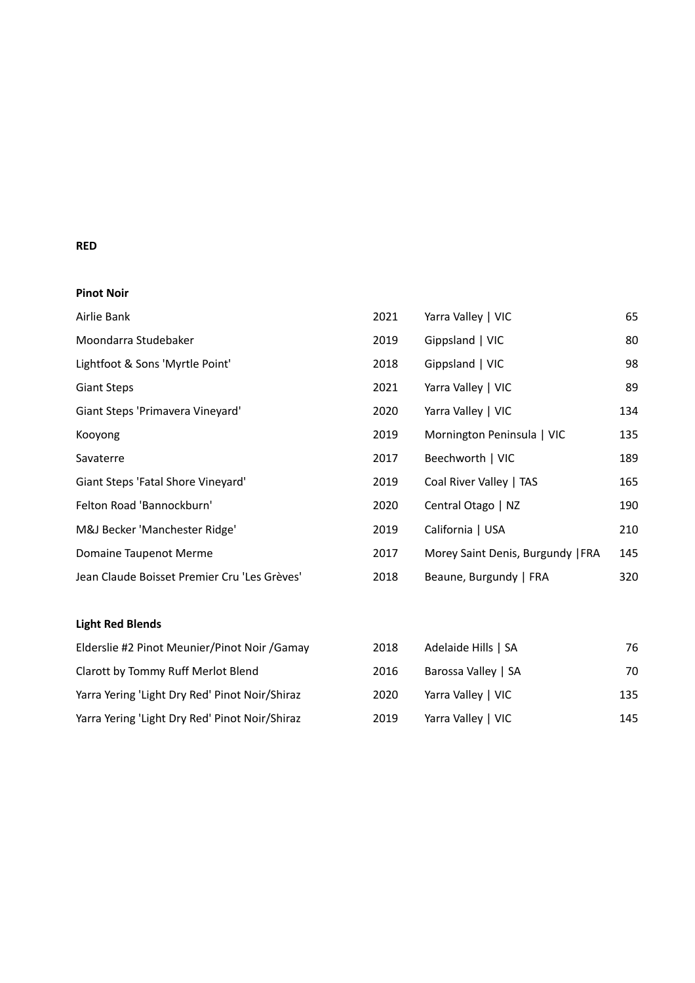### **RED**

### **Pinot Noir**

| Airlie Bank                                  | 2021 | Yarra Valley   VIC                | 65  |
|----------------------------------------------|------|-----------------------------------|-----|
| Moondarra Studebaker                         | 2019 | Gippsland   VIC                   | 80  |
| Lightfoot & Sons 'Myrtle Point'              | 2018 | Gippsland   VIC                   | 98  |
| <b>Giant Steps</b>                           | 2021 | Yarra Valley   VIC                | 89  |
| Giant Steps 'Primavera Vineyard'             | 2020 | Yarra Valley   VIC                | 134 |
| Kooyong                                      | 2019 | Mornington Peninsula   VIC        | 135 |
| Savaterre                                    | 2017 | Beechworth   VIC                  | 189 |
| Giant Steps 'Fatal Shore Vineyard'           | 2019 | Coal River Valley   TAS           | 165 |
| Felton Road 'Bannockburn'                    | 2020 | Central Otago   NZ                | 190 |
| M&J Becker 'Manchester Ridge'                | 2019 | California   USA                  | 210 |
| Domaine Taupenot Merme                       | 2017 | Morey Saint Denis, Burgundy   FRA | 145 |
| Jean Claude Boisset Premier Cru 'Les Grèves' | 2018 | Beaune, Burgundy   FRA            | 320 |

## **Light Red Blends**

| Elderslie #2 Pinot Meunier/Pinot Noir /Gamay   | 2018 | Adelaide Hills   SA | 76  |
|------------------------------------------------|------|---------------------|-----|
| Clarott by Tommy Ruff Merlot Blend             | 2016 | Barossa Valley   SA | 70  |
| Yarra Yering 'Light Dry Red' Pinot Noir/Shiraz | 2020 | Yarra Valley   VIC  | 135 |
| Yarra Yering 'Light Dry Red' Pinot Noir/Shiraz | 2019 | Yarra Valley   VIC  | 145 |

| 2018 | Adelaide Hills   SA | 76  |
|------|---------------------|-----|
| 2016 | Barossa Valley   SA | 70  |
| 2020 | Yarra Valley   VIC  | 135 |
| 2019 | Yarra Valley   VIC  | 145 |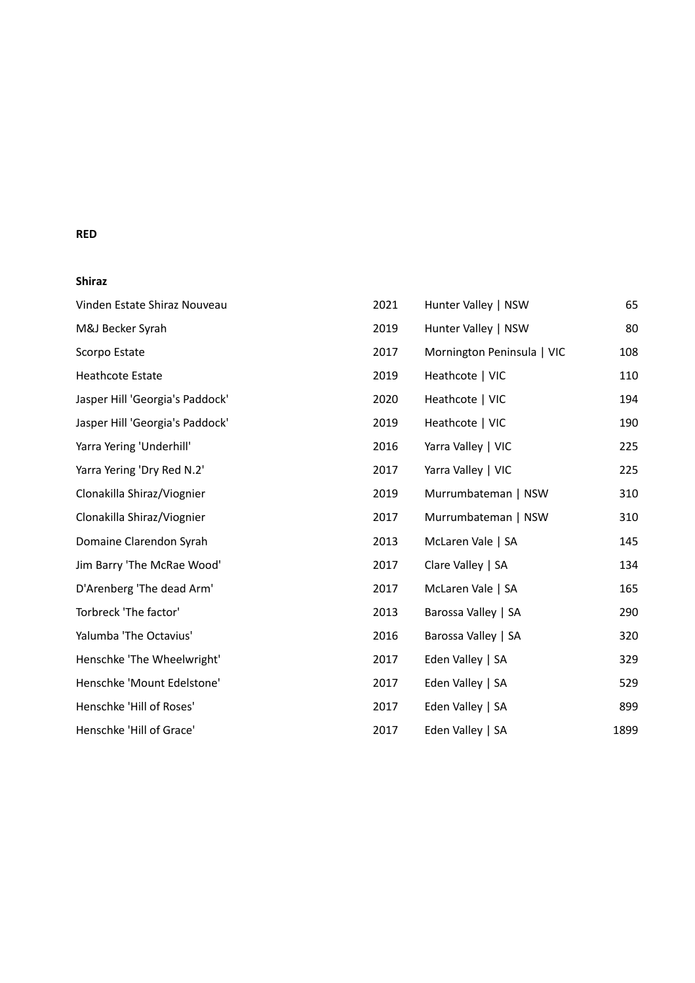#### **RED**

## **Shiraz**

| Vinden Estate Shiraz Nouveau    | 2021 | Hunter Valley   NSW        | 65   |
|---------------------------------|------|----------------------------|------|
| M&J Becker Syrah                | 2019 | Hunter Valley   NSW        | 80   |
| Scorpo Estate                   | 2017 | Mornington Peninsula   VIC | 108  |
| <b>Heathcote Estate</b>         | 2019 | Heathcote   VIC            | 110  |
| Jasper Hill 'Georgia's Paddock' | 2020 | Heathcote   VIC            | 194  |
| Jasper Hill 'Georgia's Paddock' | 2019 | Heathcote   VIC            | 190  |
| Yarra Yering 'Underhill'        | 2016 | Yarra Valley   VIC         | 225  |
| Yarra Yering 'Dry Red N.2'      | 2017 | Yarra Valley   VIC         | 225  |
| Clonakilla Shiraz/Viognier      | 2019 | Murrumbateman   NSW        | 310  |
| Clonakilla Shiraz/Viognier      | 2017 | Murrumbateman   NSW        | 310  |
| Domaine Clarendon Syrah         | 2013 | McLaren Vale   SA          | 145  |
| Jim Barry 'The McRae Wood'      | 2017 | Clare Valley   SA          | 134  |
| D'Arenberg 'The dead Arm'       | 2017 | McLaren Vale   SA          | 165  |
| Torbreck 'The factor'           | 2013 | Barossa Valley   SA        | 290  |
| Yalumba 'The Octavius'          | 2016 | Barossa Valley   SA        | 320  |
| Henschke 'The Wheelwright'      | 2017 | Eden Valley   SA           | 329  |
| Henschke 'Mount Edelstone'      | 2017 | Eden Valley   SA           | 529  |
| Henschke 'Hill of Roses'        | 2017 | Eden Valley   SA           | 899  |
| Henschke 'Hill of Grace'        | 2017 | Eden Valley   SA           | 1899 |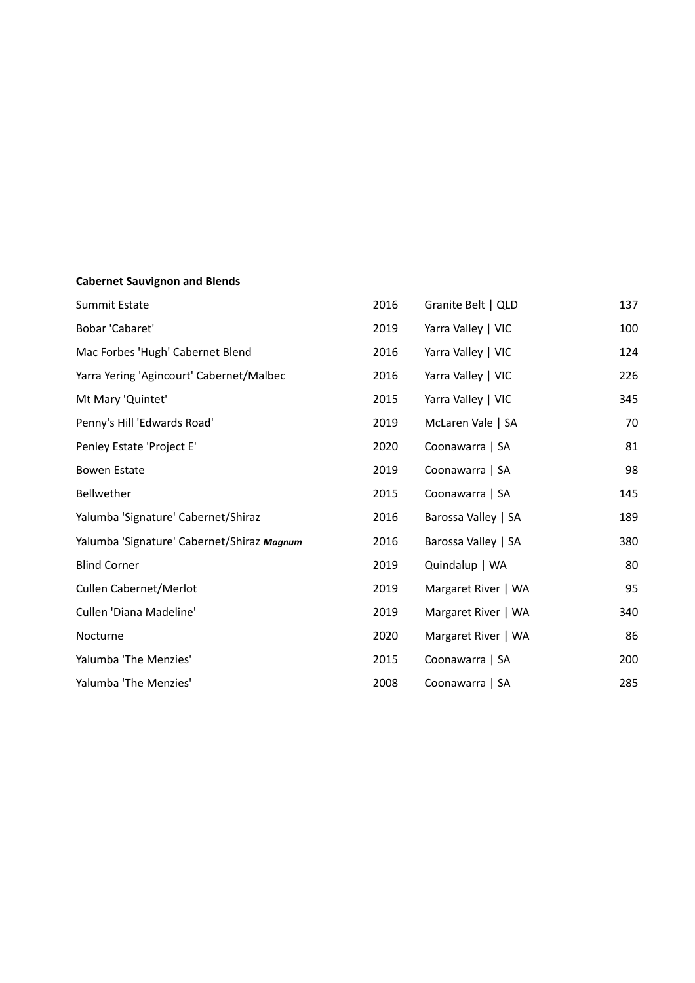# **Cabernet Sauvignon and Blends**

| Summit Estate                              | 2016 | Granite Belt   QLD  | 137 |
|--------------------------------------------|------|---------------------|-----|
| Bobar 'Cabaret'                            | 2019 | Yarra Valley   VIC  | 100 |
| Mac Forbes 'Hugh' Cabernet Blend           | 2016 | Yarra Valley   VIC  | 124 |
| Yarra Yering 'Agincourt' Cabernet/Malbec   | 2016 | Yarra Valley   VIC  | 226 |
| Mt Mary 'Quintet'                          | 2015 | Yarra Valley   VIC  | 345 |
| Penny's Hill 'Edwards Road'                | 2019 | McLaren Vale   SA   | 70  |
| Penley Estate 'Project E'                  | 2020 | Coonawarra   SA     | 81  |
| Bowen Estate                               | 2019 | Coonawarra   SA     | 98  |
| Bellwether                                 | 2015 | Coonawarra   SA     | 145 |
| Yalumba 'Signature' Cabernet/Shiraz        | 2016 | Barossa Valley   SA | 189 |
| Yalumba 'Signature' Cabernet/Shiraz Magnum | 2016 | Barossa Valley   SA | 380 |
| <b>Blind Corner</b>                        | 2019 | Quindalup   WA      | 80  |
| Cullen Cabernet/Merlot                     | 2019 | Margaret River   WA | 95  |
| Cullen 'Diana Madeline'                    | 2019 | Margaret River   WA | 340 |
| Nocturne                                   | 2020 | Margaret River   WA | 86  |
| Yalumba 'The Menzies'                      | 2015 | Coonawarra   SA     | 200 |
| Yalumba 'The Menzies'                      | 2008 | Coonawarra   SA     | 285 |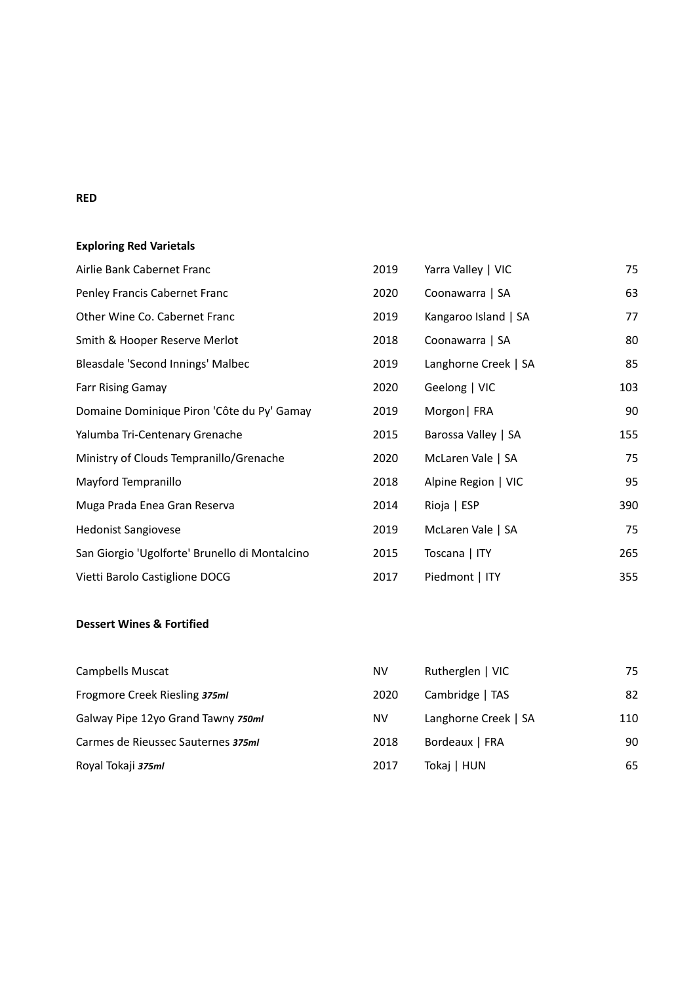#### **RED**

# **Exploring Red Varietals**

| Airlie Bank Cabernet Franc                     | 2019 | Yarra Valley   VIC   | 75  |
|------------------------------------------------|------|----------------------|-----|
| Penley Francis Cabernet Franc                  | 2020 | Coonawarra   SA      | 63  |
| Other Wine Co. Cabernet Franc                  | 2019 | Kangaroo Island   SA | 77  |
| Smith & Hooper Reserve Merlot                  | 2018 | Coonawarra   SA      | 80  |
| Bleasdale 'Second Innings' Malbec              | 2019 | Langhorne Creek   SA | 85  |
| <b>Farr Rising Gamay</b>                       | 2020 | Geelong   VIC        | 103 |
| Domaine Dominique Piron 'Côte du Py' Gamay     | 2019 | Morgon   FRA         | 90  |
| Yalumba Tri-Centenary Grenache                 | 2015 | Barossa Valley   SA  | 155 |
| Ministry of Clouds Tempranillo/Grenache        | 2020 | McLaren Vale   SA    | 75  |
| Mayford Tempranillo                            | 2018 | Alpine Region   VIC  | 95  |
| Muga Prada Enea Gran Reserva                   | 2014 | Rioja   ESP          | 390 |
| <b>Hedonist Sangiovese</b>                     | 2019 | McLaren Vale   SA    | 75  |
| San Giorgio 'Ugolforte' Brunello di Montalcino | 2015 | Toscana   ITY        | 265 |
| Vietti Barolo Castiglione DOCG                 | 2017 | Piedmont   ITY       | 355 |

## **Dessert Wines & Fortified**

| Campbells Muscat                   | <b>NV</b> | Rutherglen   VIC     | 75  |
|------------------------------------|-----------|----------------------|-----|
| Frogmore Creek Riesling 375ml      | 2020      | Cambridge   TAS      | 82  |
| Galway Pipe 12yo Grand Tawny 750ml | <b>NV</b> | Langhorne Creek   SA | 110 |
| Carmes de Rieussec Sauternes 375ml | 2018      | Bordeaux   FRA       | 90  |
| Royal Tokaji 375ml                 | 2017      | Tokaj   HUN          | 65  |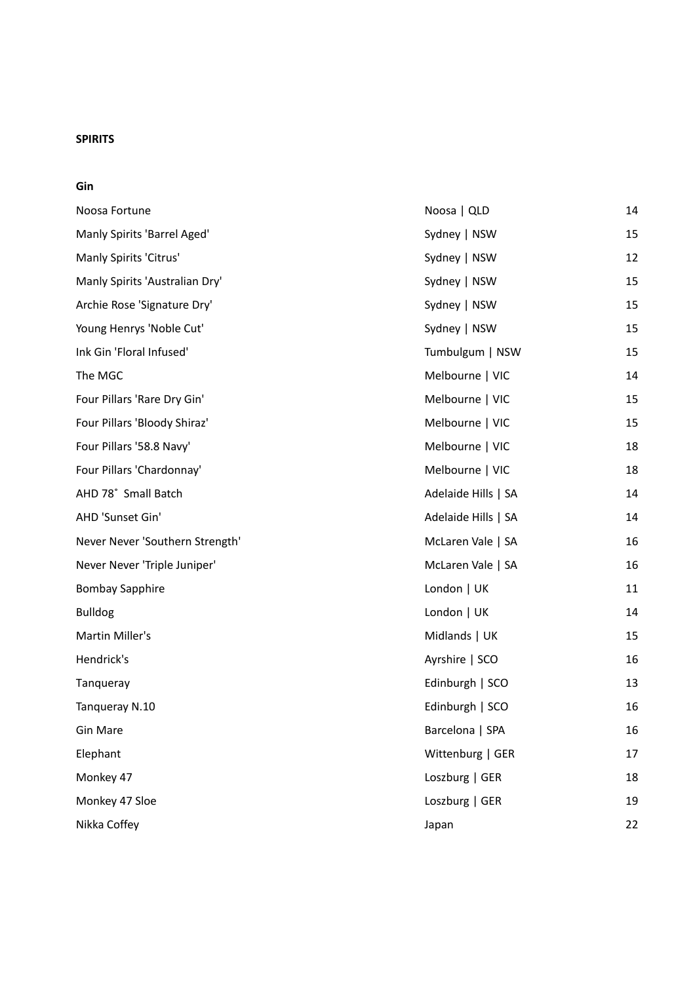#### **SPIRITS**

**Gin**

| Noosa Fortune                   | Noosa   QLD         | 14 |
|---------------------------------|---------------------|----|
| Manly Spirits 'Barrel Aged'     | Sydney   NSW        | 15 |
| Manly Spirits 'Citrus'          | Sydney   NSW        | 12 |
| Manly Spirits 'Australian Dry'  | Sydney   NSW        | 15 |
| Archie Rose 'Signature Dry'     | Sydney   NSW        | 15 |
| Young Henrys 'Noble Cut'        | Sydney   NSW        | 15 |
| Ink Gin 'Floral Infused'        | Tumbulgum   NSW     | 15 |
| The MGC                         | Melbourne   VIC     | 14 |
| Four Pillars 'Rare Dry Gin'     | Melbourne   VIC     | 15 |
| Four Pillars 'Bloody Shiraz'    | Melbourne   VIC     | 15 |
| Four Pillars '58.8 Navy'        | Melbourne   VIC     | 18 |
| Four Pillars 'Chardonnay'       | Melbourne   VIC     | 18 |
| AHD 78° Small Batch             | Adelaide Hills   SA | 14 |
| AHD 'Sunset Gin'                | Adelaide Hills   SA | 14 |
| Never Never 'Southern Strength' | McLaren Vale   SA   | 16 |
| Never Never 'Triple Juniper'    | McLaren Vale   SA   | 16 |
| <b>Bombay Sapphire</b>          | London   UK         | 11 |
| <b>Bulldog</b>                  | London   UK         | 14 |
| Martin Miller's                 | Midlands   UK       | 15 |
| Hendrick's                      | Ayrshire   SCO      | 16 |
| Tanqueray                       | Edinburgh   SCO     | 13 |
| Tanqueray N.10                  | Edinburgh   SCO     | 16 |
| Gin Mare                        | Barcelona   SPA     | 16 |
| Elephant                        | Wittenburg   GER    | 17 |
| Monkey 47                       | Loszburg   GER      | 18 |
| Monkey 47 Sloe                  | Loszburg   GER      | 19 |
| Nikka Coffey                    | Japan               | 22 |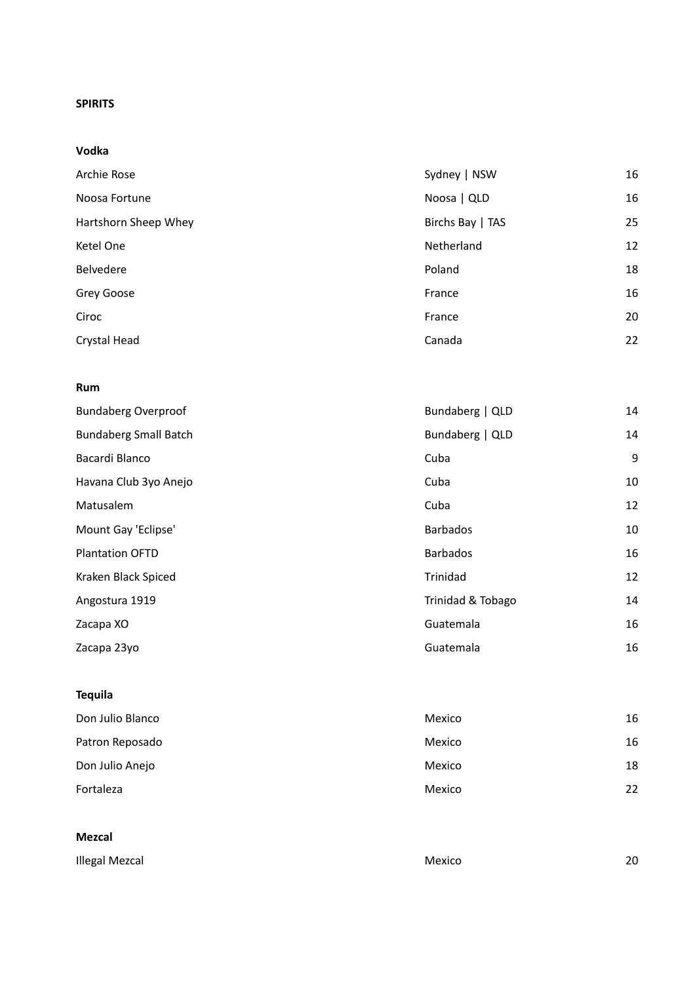#### **SPIRITS**

**Vodka**

| Archie Rose          | Sydney   NSW     | 16 |
|----------------------|------------------|----|
| Noosa Fortune        | Noosa   QLD      | 16 |
| Hartshorn Sheep Whey | Birchs Bay   TAS | 25 |
| Ketel One            | Netherland       | 12 |
| Belvedere            | Poland           | 18 |
| Grey Goose           | France           | 16 |
| Ciroc                | France           | 20 |
| Crystal Head         | Canada           | 22 |

#### **Rum**

| <b>Bundaberg Overproof</b>   | Bundaberg   QLD   | 14 |
|------------------------------|-------------------|----|
| <b>Bundaberg Small Batch</b> | Bundaberg   QLD   | 14 |
| Bacardi Blanco               | Cuba              | 9  |
| Havana Club 3yo Anejo        | Cuba              | 10 |
| Matusalem                    | Cuba              | 12 |
| Mount Gay 'Eclipse'          | <b>Barbados</b>   | 10 |
| <b>Plantation OFTD</b>       | <b>Barbados</b>   | 16 |
| Kraken Black Spiced          | Trinidad          | 12 |
| Angostura 1919               | Trinidad & Tobago | 14 |
| Zacapa XO                    | Guatemala         | 16 |
| Zacapa 23yo                  | Guatemala         | 16 |

## **Tequila**

| Don Julio Blanco | Mexico | 16 |
|------------------|--------|----|
| Patron Reposado  | Mexico | 16 |
| Don Julio Anejo  | Mexico | 18 |
| Fortaleza        | Mexico | 22 |

#### **Mezcal**

| Illegal Mezcal | Mexico | 20 |
|----------------|--------|----|
|                |        |    |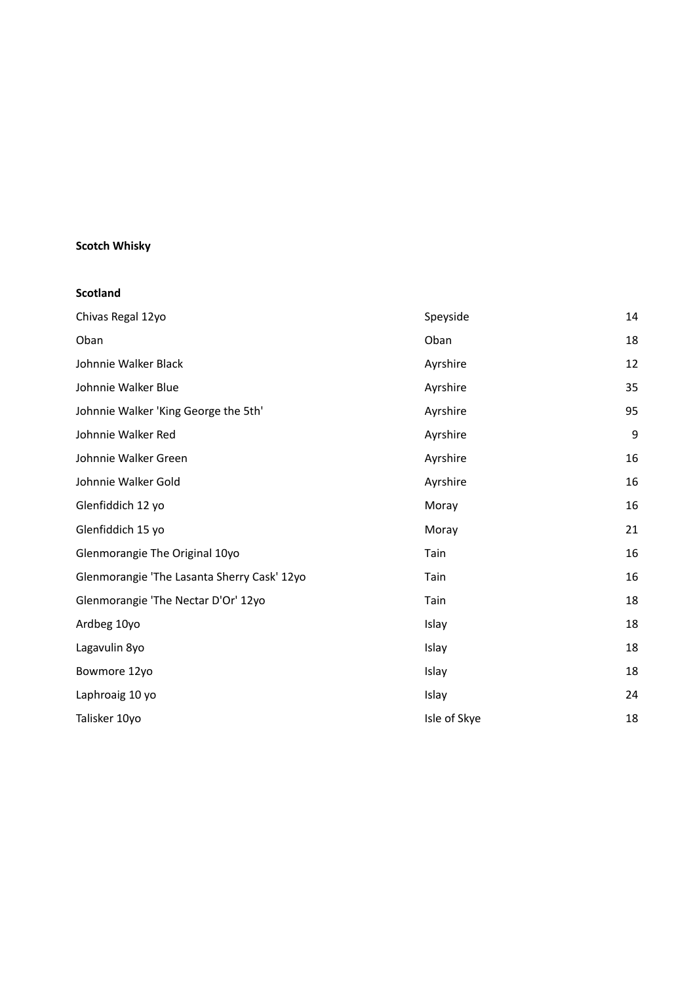## **Scotch Whisky**

#### **Scotland**

| Chivas Regal 12yo                           | Speyside     | 14 |
|---------------------------------------------|--------------|----|
| Oban                                        | Oban         | 18 |
| Johnnie Walker Black                        | Ayrshire     | 12 |
| Johnnie Walker Blue                         | Ayrshire     | 35 |
| Johnnie Walker 'King George the 5th'        | Ayrshire     | 95 |
| Johnnie Walker Red                          | Ayrshire     | 9  |
| Johnnie Walker Green                        | Ayrshire     | 16 |
| Johnnie Walker Gold                         | Ayrshire     | 16 |
| Glenfiddich 12 yo                           | Moray        | 16 |
| Glenfiddich 15 yo                           | Moray        | 21 |
| Glenmorangie The Original 10yo              | Tain         | 16 |
| Glenmorangie 'The Lasanta Sherry Cask' 12yo | Tain         | 16 |
| Glenmorangie 'The Nectar D'Or' 12yo         | Tain         | 18 |
| Ardbeg 10yo                                 | Islay        | 18 |
| Lagavulin 8yo                               | Islay        | 18 |
| Bowmore 12yo                                | Islay        | 18 |
| Laphroaig 10 yo                             | Islay        | 24 |
| Talisker 10yo                               | Isle of Skye | 18 |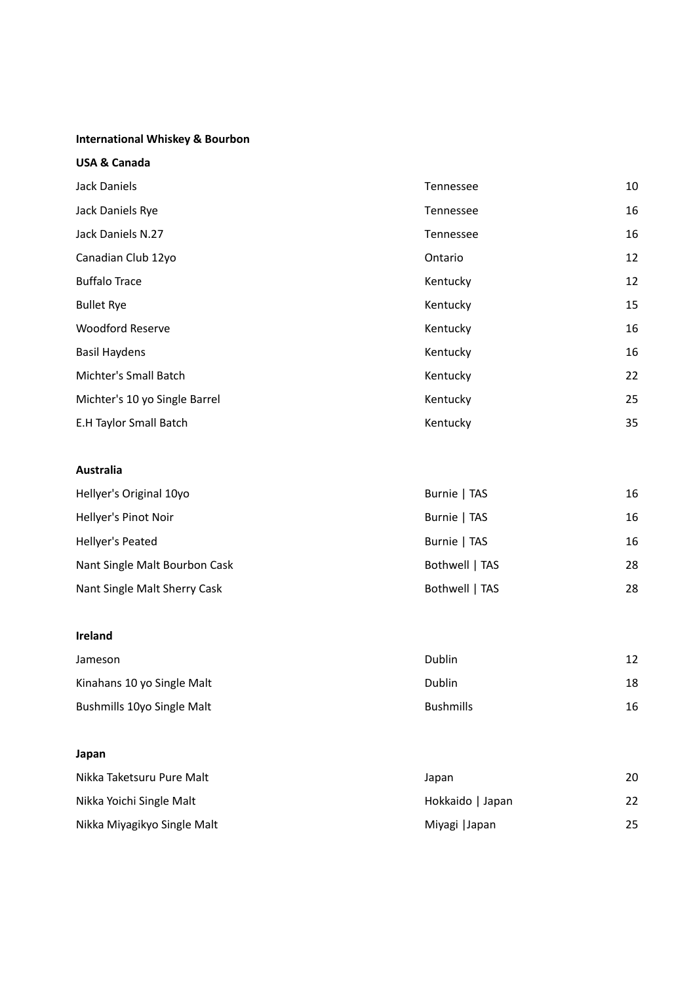#### **International Whiskey & Bourbon**

|  |  | <b>USA &amp; Canada</b> |
|--|--|-------------------------|
|--|--|-------------------------|

| Jack Daniels                  | Tennessee | 10 |
|-------------------------------|-----------|----|
| Jack Daniels Rye              | Tennessee | 16 |
| Jack Daniels N.27             | Tennessee | 16 |
| Canadian Club 12yo            | Ontario   | 12 |
| <b>Buffalo Trace</b>          | Kentucky  | 12 |
| <b>Bullet Rye</b>             | Kentucky  | 15 |
| <b>Woodford Reserve</b>       | Kentucky  | 16 |
| <b>Basil Haydens</b>          | Kentucky  | 16 |
| Michter's Small Batch         | Kentucky  | 22 |
| Michter's 10 yo Single Barrel | Kentucky  | 25 |
| E.H Taylor Small Batch        | Kentucky  | 35 |

#### **Australia**

| Hellyer's Original 10yo       | Burnie   TAS   | 16 |
|-------------------------------|----------------|----|
| Hellyer's Pinot Noir          | Burnie   TAS   | 16 |
| Hellyer's Peated              | Burnie   TAS   | 16 |
| Nant Single Malt Bourbon Cask | Bothwell   TAS | 28 |
| Nant Single Malt Sherry Cask  | Bothwell   TAS | 28 |

### **Ireland**

| Jameson                    | Dublin           | 12 |
|----------------------------|------------------|----|
| Kinahans 10 yo Single Malt | Dublin           | 18 |
| Bushmills 10yo Single Malt | <b>Bushmills</b> | 16 |

#### **Japan**

| Nikka Taketsuru Pure Malt   | Japan            | 20 |
|-----------------------------|------------------|----|
| Nikka Yoichi Single Malt    | Hokkaido   Japan | 22 |
| Nikka Miyagikyo Single Malt | Miyagi   Japan   | 25 |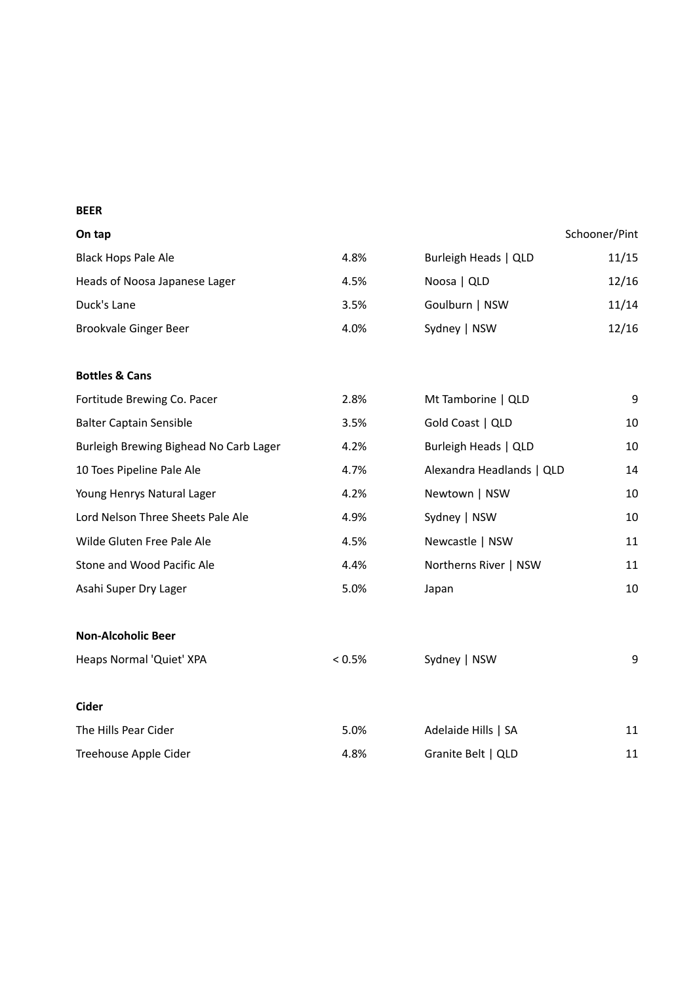#### **BEER**

#### **On tap** Schooner/Pint

| <b>Black Hops Pale Ale</b>    | 4.8% | Burleigh Heads   QLD | 11/15 |
|-------------------------------|------|----------------------|-------|
| Heads of Noosa Japanese Lager | 4.5% | Noosa   QLD          | 12/16 |
| Duck's Lane                   | 3.5% | Goulburn   NSW       | 11/14 |
| Brookvale Ginger Beer         | 4.0% | Sydney   NSW         | 12/16 |

#### **Bottles & Cans**

|           | Mt Tamborine   QLD        | 9  |
|-----------|---------------------------|----|
| 3.5%      | Gold Coast   QLD          | 10 |
| 4.2%      | Burleigh Heads   QLD      | 10 |
| 4.7%      | Alexandra Headlands   QLD | 14 |
| 4.2%      | Newtown   NSW             | 10 |
| 4.9%      | Sydney   NSW              | 10 |
| 4.5%      | Newcastle   NSW           | 11 |
| 4.4%      | Northerns River   NSW     | 11 |
| 5.0%      | Japan                     | 10 |
|           |                           |    |
|           |                           |    |
| $< 0.5\%$ | Sydney   NSW              | 9  |
|           |                           |    |
| 5.0%      | Adelaide Hills   SA       | 11 |
|           | 2.8%                      |    |

Treehouse Apple Cider 11 and 18% Granite Belt | QLD 11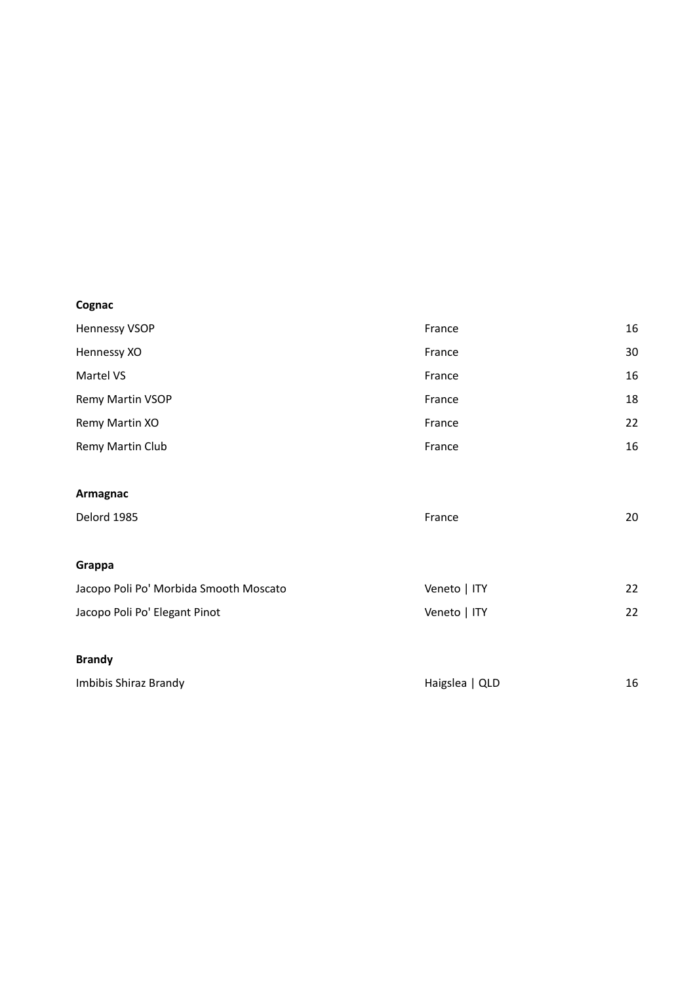# **Cognac**

| <b>Hennessy VSOP</b> | France | 16 |
|----------------------|--------|----|
| Hennessy XO          | France | 30 |
| Martel VS            | France | 16 |
| Remy Martin VSOP     | France | 18 |
| Remy Martin XO       | France | 22 |
| Remy Martin Club     | France | 16 |
|                      |        |    |
| Armagnac             |        |    |
| Delord 1985          | France | 20 |

| Grappa                                 |              |    |
|----------------------------------------|--------------|----|
| Jacopo Poli Po' Morbida Smooth Moscato | Veneto   ITY | 22 |
| Jacopo Poli Po' Elegant Pinot          | Veneto   ITY | 22 |

#### **Brandy**

| Imbibis Shiraz Brandy | Haigslea   QLD |  |
|-----------------------|----------------|--|
|                       |                |  |